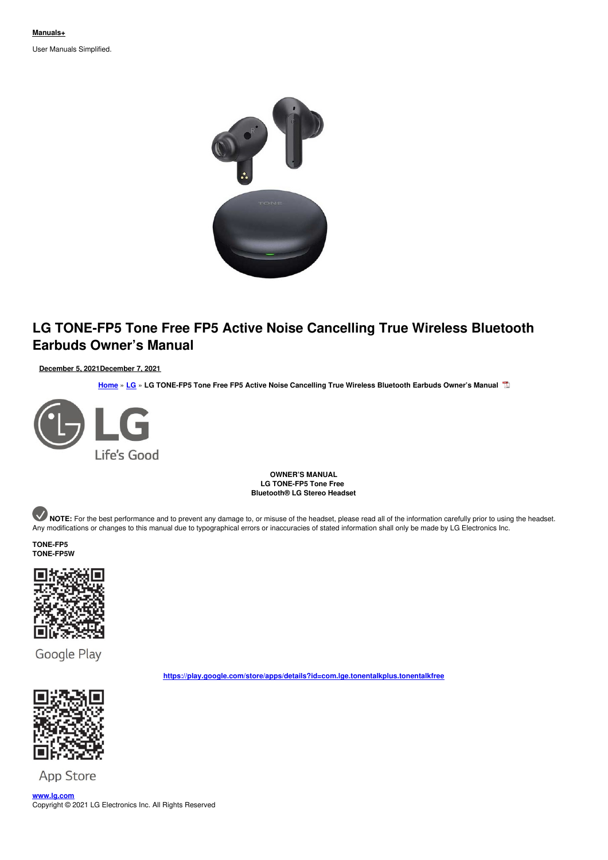User Manuals Simplified.



# **LG TONE-FP5 Tone Free FP5 Active Noise Cancelling True Wireless Bluetooth Earbuds Owner's Manual**

**December 5, [2021December](#page-4-0) 7, 2021**

**[Home](https://manuals.plus/)** » **[LG](https://manuals.plus/category/_lg)** » **LG TONE-FP5 Tone Free FP5 Active Noise Cancelling True Wireless Bluetooth Earbuds Owner's Manual**



**OWNER'S MANUAL LG TONE-FP5 Tone Free Bluetooth® LG Stereo Headset**

NOTE: For the best performance and to prevent any damage to, or misuse of the headset, please read all of the information carefully prior to using the headset. Any modifications or changes to this manual due to typographical errors or inaccuracies of stated information shall only be made by LG Electronics Inc.

# **TONE-FP5 TONE-FP5W**



Google Play



**App Store** 

**[www.lg.com](http://www.lg.com)** Copyright © 2021 LG Electronics Inc. All Rights Reserved

**<https://play.google.com/store/apps/details?id=com.lge.tonentalkplus.tonentalkfree>**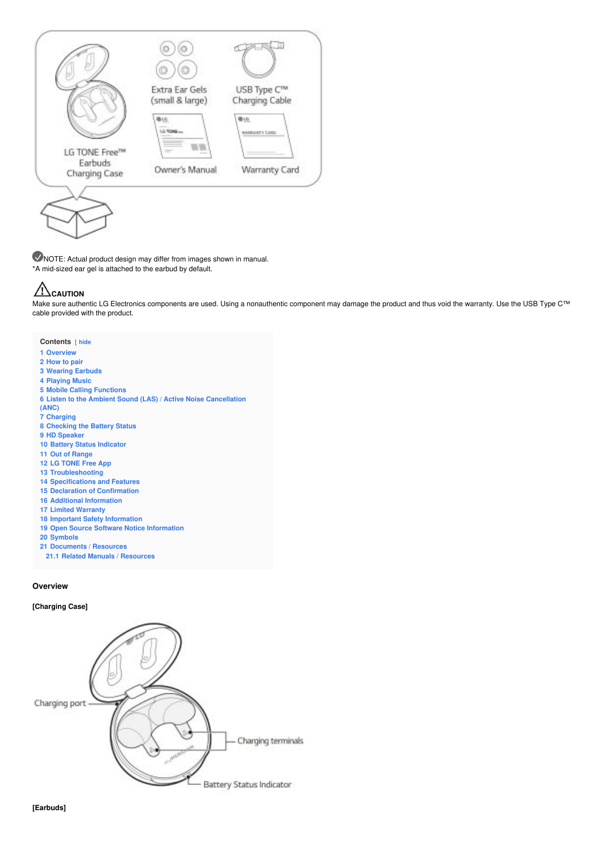

NOTE: Actual product design may differ from images shown in manual. \*A mid-sized ear gel is attached to the earbud by default.

# **CAUTION**

Make sure authentic LG Electronics components are used. Using a nonauthentic component may damage the product and thus void the warranty. Use the USB Type C™ cable provided with the product.

## **Contents** [ **hide**

- **[Overview](#page-1-0)**
- **[How](#page-2-0) to pair**
- **[Wearing](#page-2-1) Earbuds**
- 
- **[Playing](#page-3-0) Music**
- **Mobile Calling [Functions](#page-3-1)**
- **Listen to the Ambient Sound (LAS) / Active Noise [Cancellation](#page-3-2) (ANC)**
- 
- **[Charging](#page-4-1) [Checking](#page-4-2) the Battery Status**
- **HD [Speaker](#page-5-0)**
- **Battery Status [Indicator](#page-5-1)**
- **Out of [Range](#page-5-2)**
- **LG [TONE](#page-5-3) Free App**
- 
- **[Troubleshooting](#page-5-4)**
- **[Specifications](#page-5-5) and Features**
- **Declaration of [Confirmation](#page-6-0)**
- **Additional [Information](#page-6-1)**
- **Limited [Warranty](#page-7-0)**
- **Important Safety [Information](#page-7-1)**
- **Open Source Software Notice [Information](#page-7-2)**
- **[Symbols](#page-7-3)**
- **[Documents](#page-8-0) / Resources**
- **21.1 Related Manuals / [Resources](#page-8-1)**

## <span id="page-1-0"></span>**Overview**

## **[Charging Case]**

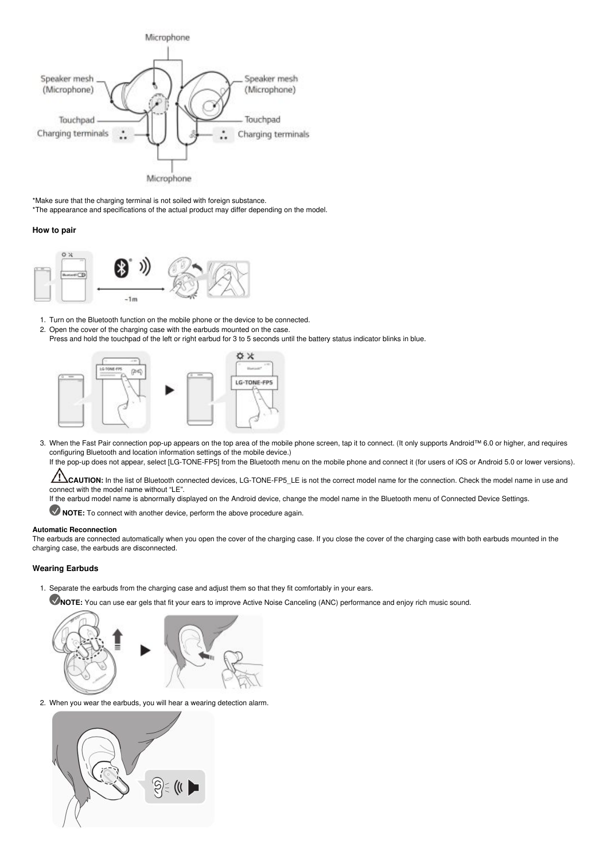

\*Make sure that the charging terminal is not soiled with foreign substance. \*The appearance and specifications of the actual product may differ depending on the model.

# <span id="page-2-0"></span>**How to pair**



1. Turn on the Bluetooth function on the mobile phone or the device to be connected.

- 2. Open the cover of the charging case with the earbuds mounted on the case.
- Press and hold the touchpad of the left or right earbud for 3 to 5 seconds until the battery status indicator blinks in blue.



3. When the Fast Pair connection pop-up appears on the top area of the mobile phone screen, tap it to connect. (It only supports Android™ 6.0 or higher, and requires configuring Bluetooth and location information settings of the mobile device.)

If the pop-up does not appear, select [LG-TONE-FP5] from the Bluetooth menu on the mobile phone and connect it (for users of iOS or Android 5.0 or lower versions).

 $\sqrt{1}$ **CAUTION:** In the list of Bluetooth connected devices, LG-TONE-FP5\_LE is not the correct model name for the connection. Check the model name in use and connect with the model name without "LE".

If the earbud model name is abnormally displayed on the Android device, change the model name in the Bluetooth menu of Connected Device Settings.

**NOTE:** To connect with another device, perform the above procedure again.

#### **Automatic Reconnection**

The earbuds are connected automatically when you open the cover of the charging case. If you close the cover of the charging case with both earbuds mounted in the charging case, the earbuds are disconnected.

# <span id="page-2-1"></span>**Wearing Earbuds**

- 1. Separate the earbuds from the charging case and adjust them so that they fit comfortably in your ears.
- **NOTE:** You can use ear gels that fit your ears to improve Active Noise Canceling (ANC) performance and enjoy rich music sound.



2. When you wear the earbuds, you will hear a wearing detection alarm.

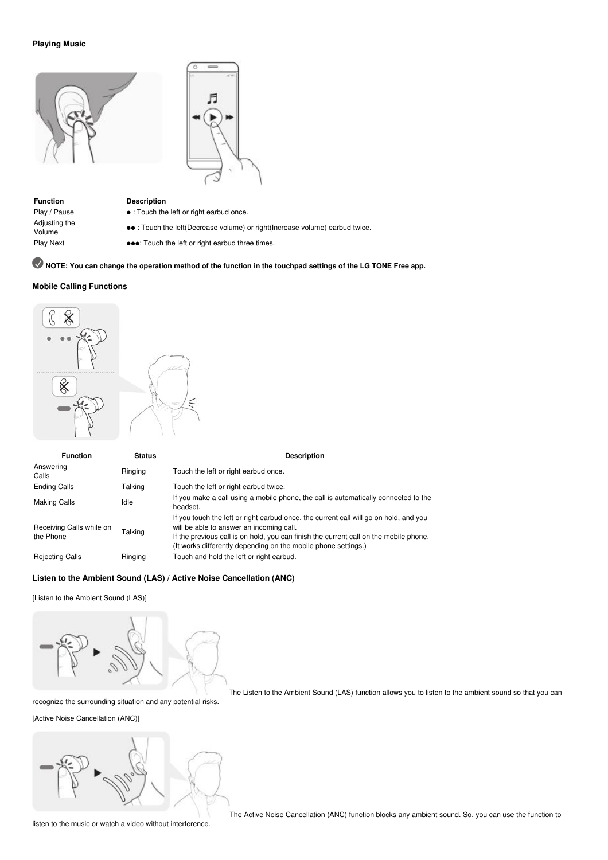# <span id="page-3-0"></span>**Playing Music**





**Function Description** Adjusting the

- 
- Play / Pause : Touch the left or right earbud once.
	- ●● : Touch the left(Decrease volume) or right(Increase volume) earbud twice.
- Play Next ●●●: Touch the left or right earbud three times.

# NOTE: You can change the operation method of the function in the touchpad settings of the LG TONE Free app.

# <span id="page-3-1"></span>**Mobile Calling Functions**



| <b>Function</b>                       | <b>Status</b> | <b>Description</b>                                                                                                                                                                                                                                                                           |
|---------------------------------------|---------------|----------------------------------------------------------------------------------------------------------------------------------------------------------------------------------------------------------------------------------------------------------------------------------------------|
| Answering<br>Calls                    | Ringing       | Touch the left or right earbud once.                                                                                                                                                                                                                                                         |
| <b>Ending Calls</b>                   | Talking       | Touch the left or right earbud twice.                                                                                                                                                                                                                                                        |
| <b>Making Calls</b>                   | Idle          | If you make a call using a mobile phone, the call is automatically connected to the<br>headset.                                                                                                                                                                                              |
| Receiving Calls while on<br>the Phone | Talking       | If you touch the left or right earbud once, the current call will go on hold, and you<br>will be able to answer an incoming call.<br>If the previous call is on hold, you can finish the current call on the mobile phone.<br>(It works differently depending on the mobile phone settings.) |
| <b>Rejecting Calls</b>                | Ringing       | Touch and hold the left or right earbud.                                                                                                                                                                                                                                                     |

# <span id="page-3-2"></span>**Listen to the Ambient Sound (LAS) / Active Noise Cancellation (ANC)**

[Listen to the Ambient Sound (LAS)]



The Listen to the Ambient Sound (LAS) function allows you to listen to the ambient sound so that you can

recognize the surrounding situation and any potential risks.

[Active Noise Cancellation (ANC)]



The Active Noise Cancellation (ANC) function blocks any ambient sound. So, you can use the function to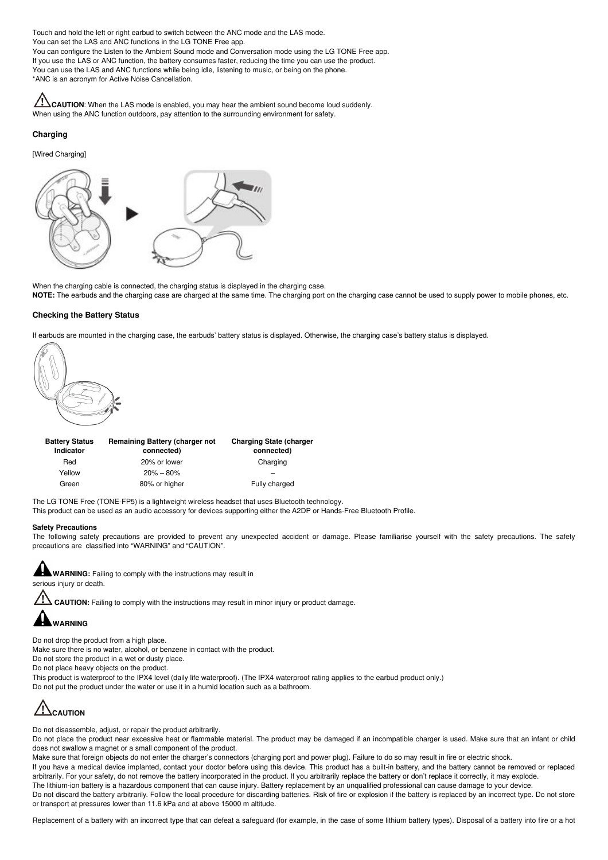<span id="page-4-0"></span>Touch and hold the left or right earbud to switch between the ANC mode and the LAS mode. You can set the LAS and ANC functions in the LG TONE Free app. You can configure the Listen to the Ambient Sound mode and Conversation mode using the LG TONE Free app. If you use the LAS or ANC function, the battery consumes faster, reducing the time you can use the product. You can use the LAS and ANC functions while being idle, listening to music, or being on the phone. \*ANC is an acronym for Active Noise Cancellation.

**CINCAUTION:** When the LAS mode is enabled, you may hear the ambient sound become loud suddenly. When using the ANC function outdoors, pay attention to the surrounding environment for safety.

# <span id="page-4-1"></span>**Charging**

[Wired Charging]



When the charging cable is connected, the charging status is displayed in the charging case.

**NOTE:** The earbuds and the charging case are charged at the same time. The charging port on the charging case cannot be used to supply power to mobile phones, etc.

# <span id="page-4-2"></span>**Checking the Battery Status**

If earbuds are mounted in the charging case, the earbuds' battery status is displayed. Otherwise, the charging case's battery status is displayed.



| <b>Battery Status</b><br>Indicator | Remaining Battery (charger not<br>connected) | <b>Charging State (charger</b><br>connected) |
|------------------------------------|----------------------------------------------|----------------------------------------------|
| Red                                | 20% or lower                                 | Charging                                     |
| Yellow                             | $20\% - 80\%$                                |                                              |
| Green                              | 80% or higher                                | Fully charged                                |

The LG TONE Free (TONE-FP5) is a lightweight wireless headset that uses Bluetooth technology.

This product can be used as an audio accessory for devices supporting either the A2DP or Hands-Free Bluetooth Profile.

#### **Safety Precautions**

The following safety precautions are provided to prevent any unexpected accident or damage. Please familiarise yourself with the safety precautions. The safety precautions are classified into "WARNING" and "CAUTION".



**CAUTION:** Failing to comply with the instructions may result in minor injury or product damage.



Do not drop the product from a high place.

Make sure there is no water, alcohol, or benzene in contact with the product.

Do not store the product in a wet or dusty place.

Do not place heavy objects on the product.

This product is waterproof to the IPX4 level (daily life waterproof). (The IPX4 waterproof rating applies to the earbud product only.)

Do not put the product under the water or use it in a humid location such as a bathroom.

# **CAUTION**

Do not disassemble, adjust, or repair the product arbitrarily.

Do not place the product near excessive heat or flammable material. The product may be damaged if an incompatible charger is used. Make sure that an infant or child does not swallow a magnet or a small component of the product.

Make sure that foreign objects do not enter the charger's connectors (charging port and power plug). Failure to do so may result in fire or electric shock.

If you have a medical device implanted, contact your doctor before using this device. This product has a built-in battery, and the battery cannot be removed or replaced arbitrarily. For your safety, do not remove the battery incorporated in the product. If you arbitrarily replace the battery or don't replace it correctly, it may explode. The lithium-ion battery is a hazardous component that can cause injury. Battery replacement by an unqualified professional can cause damage to your device.

Do not discard the battery arbitrarily. Follow the local procedure for discarding batteries. Risk of fire or explosion if the battery is replaced by an incorrect type. Do not store or transport at pressures lower than 11.6 kPa and at above 15000 m altitude.

Replacement of a battery with an incorrect type that can defeat a safeguard (for example, in the case of some lithium battery types). Disposal of a battery into fire or a hot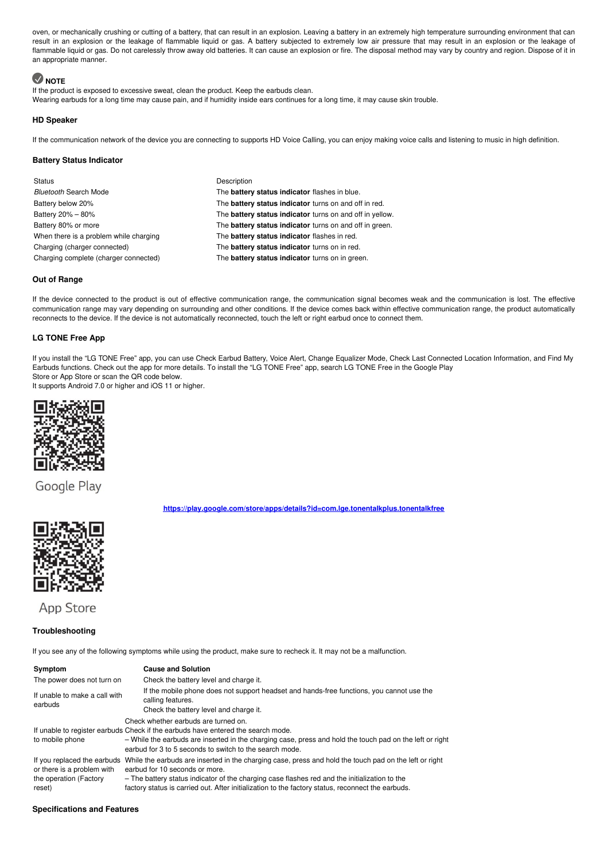oven, or mechanically crushing or cutting of a battery, that can result in an explosion. Leaving a battery in an extremely high temperature surrounding environment that can result in an explosion or the leakage of flammable liquid or gas. A battery subjected to extremely low air pressure that may result in an explosion or the leakage of flammable liquid or gas. Do not carelessly throw away old batteries. It can cause an explosion or fire. The disposal method may vary by country and region. Dispose of it in an appropriate manner.

# **NOTE**

If the product is exposed to excessive sweat, clean the product. Keep the earbuds clean. Wearing earbuds for a long time may cause pain, and if humidity inside ears continues for a long time, it may cause skin trouble.

# <span id="page-5-0"></span>**HD Speaker**

If the communication network of the device you are connecting to supports HD Voice Calling, you can enjoy making voice calls and listening to music in high definition.

# <span id="page-5-1"></span>**Battery Status Indicator**

Status **Description** 

*Bluetooth* Search Mode The **battery status indicator** flashes in blue. Battery below 20% The **battery status indicator** turns on and off in red. Battery 20% – 80% The **battery status indicator** turns on and off in yellow. Battery 80% or more The **battery status indicator** turns on and off in green. When there is a problem while charging The **battery status indicator** flashes in red. Charging (charger connected) The **battery status indicator** turns on in red. Charging complete (charger connected) The **battery status indicator** turns on in green.

# <span id="page-5-2"></span>**Out of Range**

If the device connected to the product is out of effective communication range, the communication signal becomes weak and the communication is lost. The effective communication range may vary depending on surrounding and other conditions. If the device comes back within effective communication range, the product automatically reconnects to the device. If the device is not automatically reconnected, touch the left or right earbud once to connect them.

# <span id="page-5-3"></span>**LG TONE Free App**

If you install the "LG TONE Free" app, you can use Check Earbud Battery, Voice Alert, Change Equalizer Mode, Check Last Connected Location Information, and Find My Earbuds functions. Check out the app for more details. To install the "LG TONE Free" app, search LG TONE Free in the Google Play Store or App Store or scan the QR code below.

**<https://play.google.com/store/apps/details?id=com.lge.tonentalkplus.tonentalkfree>**

It supports Android 7.0 or higher and iOS 11 or higher.



Google Play

**App Store** 

# <span id="page-5-4"></span>**Troubleshooting**

If you see any of the following symptoms while using the product, make sure to recheck it. It may not be a malfunction.

| Symptom                                                        | <b>Cause and Solution</b>                                                                                                                                                                                                                                                                                                                                                  |  |
|----------------------------------------------------------------|----------------------------------------------------------------------------------------------------------------------------------------------------------------------------------------------------------------------------------------------------------------------------------------------------------------------------------------------------------------------------|--|
| The power does not turn on                                     | Check the battery level and charge it.                                                                                                                                                                                                                                                                                                                                     |  |
| If unable to make a call with<br>earbuds                       | If the mobile phone does not support headset and hands-free functions, you cannot use the<br>calling features.<br>Check the battery level and charge it.                                                                                                                                                                                                                   |  |
| to mobile phone                                                | Check whether earbuds are turned on.<br>If unable to register earbuds Check if the earbuds have entered the search mode.<br>- While the earbuds are inserted in the charging case, press and hold the touch pad on the left or right<br>earbud for 3 to 5 seconds to switch to the search mode.                                                                            |  |
| or there is a problem with<br>the operation (Factory<br>reset) | If you replaced the earbuds While the earbuds are inserted in the charging case, press and hold the touch pad on the left or right<br>earbud for 10 seconds or more.<br>- The battery status indicator of the charging case flashes red and the initialization to the<br>factory status is carried out. After initialization to the factory status, reconnect the earbuds. |  |

# <span id="page-5-5"></span>**Specifications and Features**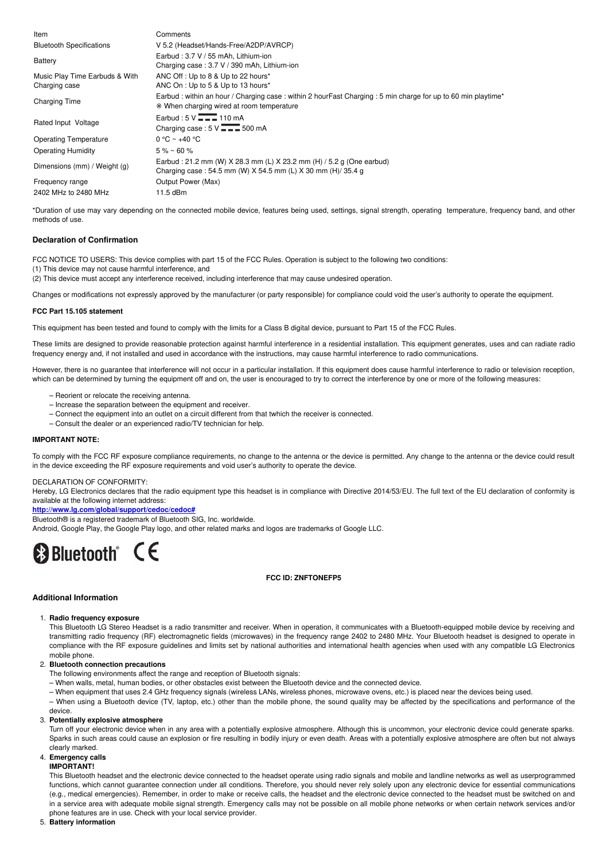| Item                                            | Comments                                                                                                                                                    |
|-------------------------------------------------|-------------------------------------------------------------------------------------------------------------------------------------------------------------|
| <b>Bluetooth Specifications</b>                 | V 5.2 (Headset/Hands-Free/A2DP/AVRCP)                                                                                                                       |
| Battery                                         | Earbud: 3.7 V / 55 mAh. Lithium-ion<br>Charging case: 3.7 V / 390 mAh, Lithium-ion                                                                          |
| Music Play Time Earbuds & With<br>Charging case | ANC Off: Up to 8 & Up to 22 hours*<br>ANC On : Up to 5 & Up to 13 hours*                                                                                    |
| <b>Charging Time</b>                            | Earbud : within an hour / Charging case : within 2 hourFast Charging : 5 min charge for up to 60 min playtime*<br>* When charging wired at room temperature |
| Rated Input Voltage                             | Earbud: $5 \vee \overline{ \cdot \cdot \cdot }$ 110 mA                                                                                                      |
|                                                 | Charging case: $5 \vee \rightarrow 500 \text{ mA}$                                                                                                          |
| <b>Operating Temperature</b>                    | $0 °C ~$ +40 °C                                                                                                                                             |
| <b>Operating Humidity</b>                       | $5\% \sim 60\%$                                                                                                                                             |
| Dimensions (mm) / Weight (g)                    | Earbud: 21.2 mm (W) X 28.3 mm (L) X 23.2 mm (H) / 5.2 g (One earbud)<br>Charging case: 54.5 mm (W) X 54.5 mm (L) X 30 mm (H)/ 35.4 g                        |
| Frequency range                                 | Output Power (Max)                                                                                                                                          |
| 2402 MHz to 2480 MHz                            | 11.5 dBm                                                                                                                                                    |

\*Duration of use may vary depending on the connected mobile device, features being used, settings, signal strength, operating temperature, frequency band, and other methods of use.

# <span id="page-6-0"></span>**Declaration of Confirmation**

FCC NOTICE TO USERS: This device complies with part 15 of the FCC Rules. Operation is subject to the following two conditions:

(1) This device may not cause harmful interference, and

(2) This device must accept any interference received, including interference that may cause undesired operation.

Changes or modifications not expressly approved by the manufacturer (or party responsible) for compliance could void the user's authority to operate the equipment.

#### **FCC Part 15.105 statement**

This equipment has been tested and found to comply with the limits for a Class B digital device, pursuant to Part 15 of the FCC Rules.

These limits are designed to provide reasonable protection against harmful interference in a residential installation. This equipment generates, uses and can radiate radio frequency energy and, if not installed and used in accordance with the instructions, may cause harmful interference to radio communications.

However, there is no guarantee that interference will not occur in a particular installation. If this equipment does cause harmful interference to radio or television reception, which can be determined by turning the equipment off and on, the user is encouraged to try to correct the interference by one or more of the following measures:

- Reorient or relocate the receiving antenna.
- Increase the separation between the equipment and receiver.
- Connect the equipment into an outlet on a circuit different from that twhich the receiver is connected.
- Consult the dealer or an experienced radio/TV technician for help.

# **IMPORTANT NOTE:**

To comply with the FCC RF exposure compliance requirements, no change to the antenna or the device is permitted. Any change to the antenna or the device could result in the device exceeding the RF exposure requirements and void user's authority to operate the device.

#### DECLARATION OF CONFORMITY:

Hereby, LG Electronics declares that the radio equipment type this headset is in compliance with Directive 2014/53/EU. The full text of the EU declaration of conformity is available at the following internet address:

**<http://www.lg.com/global/support/cedoc/cedoc#>**

Bluetooth<sup>®</sup> is a registered trademark of Bluetooth SIG, Inc. worldwide.

Android, Google Play, the Google Play logo, and other related marks and logos are trademarks of Google LLC.

# **B**Bluetooth<sup>®</sup> CE

#### **FCC ID: ZNFTONEFP5**

# <span id="page-6-1"></span>**Additional Information**

#### 1. **Radio frequency exposure**

This Bluetooth LG Stereo Headset is a radio transmitter and receiver. When in operation, it communicates with a Bluetooth-equipped mobile device by receiving and transmitting radio frequency (RF) electromagnetic fields (microwaves) in the frequency range 2402 to 2480 MHz. Your Bluetooth headset is designed to operate in compliance with the RF exposure guidelines and limits set by national authorities and international health agencies when used with any compatible LG Electronics mobile phone.

#### 2. **Bluetooth connection precautions**

The following environments affect the range and reception of Bluetooth signals:

– When walls, metal, human bodies, or other obstacles exist between the Bluetooth device and the connected device.

– When equipment that uses 2.4 GHz frequency signals (wireless LANs, wireless phones, microwave ovens, etc.) is placed near the devices being used.

– When using a Bluetooth device (TV, laptop, etc.) other than the mobile phone, the sound quality may be affected by the specifications and performance of the device.

#### 3. **Potentially explosive atmosphere**

Turn off your electronic device when in any area with a potentially explosive atmosphere. Although this is uncommon, your electronic device could generate sparks. Sparks in such areas could cause an explosion or fire resulting in bodily injury or even death. Areas with a potentially explosive atmosphere are often but not always clearly marked.

# 4. **Emergency calls**

**IMPORTANT!**

This Bluetooth headset and the electronic device connected to the headset operate using radio signals and mobile and landline networks as well as userprogrammed functions, which cannot guarantee connection under all conditions. Therefore, you should never rely solely upon any electronic device for essential communications (e.g., medical emergencies). Remember, in order to make or receive calls, the headset and the electronic device connected to the headset must be switched on and in a service area with adequate mobile signal strength. Emergency calls may not be possible on all mobile phone networks or when certain network services and/or phone features are in use. Check with your local service provider.

5. **Battery information**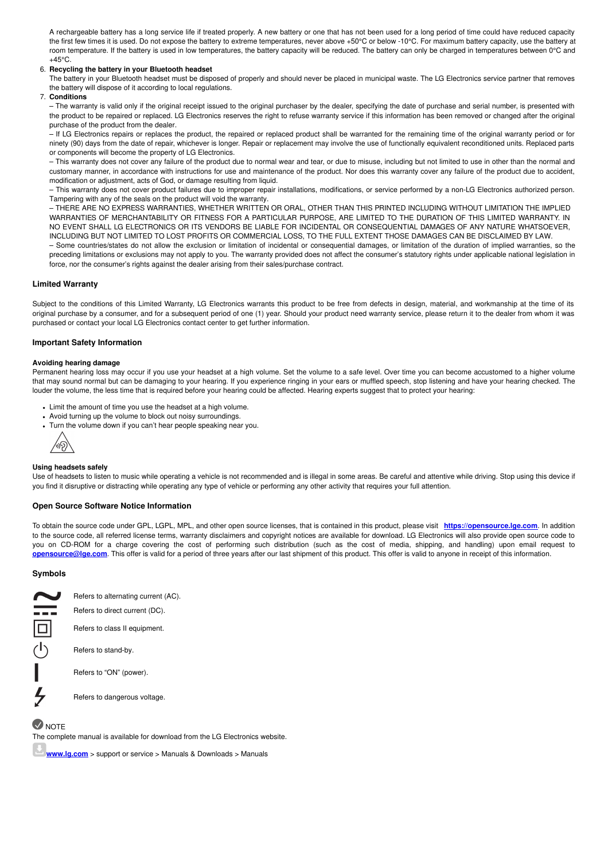A rechargeable battery has a long service life if treated properly. A new battery or one that has not been used for a long period of time could have reduced capacity the first few times it is used. Do not expose the battery to extreme temperatures, never above +50°C or below -10°C. For maximum battery capacity, use the battery at room temperature. If the battery is used in low temperatures, the battery capacity will be reduced. The battery can only be charged in temperatures between 0°C and  $+45^{\circ}$ C.

#### 6. **Recycling the battery in your Bluetooth headset**

The battery in your Bluetooth headset must be disposed of properly and should never be placed in municipal waste. The LG Electronics service partner that removes the battery will dispose of it according to local regulations.

7. **Conditions**

– The warranty is valid only if the original receipt issued to the original purchaser by the dealer, specifying the date of purchase and serial number, is presented with the product to be repaired or replaced. LG Electronics reserves the right to refuse warranty service if this information has been removed or changed after the original purchase of the product from the dealer.

– If LG Electronics repairs or replaces the product, the repaired or replaced product shall be warranted for the remaining time of the original warranty period or for ninety (90) days from the date of repair, whichever is longer. Repair or replacement may involve the use of functionally equivalent reconditioned units. Replaced parts or components will become the property of LG Electronics.

– This warranty does not cover any failure of the product due to normal wear and tear, or due to misuse, including but not limited to use in other than the normal and customary manner, in accordance with instructions for use and maintenance of the product. Nor does this warranty cover any failure of the product due to accident, modification or adjustment, acts of God, or damage resulting from liquid.

– This warranty does not cover product failures due to improper repair installations, modifications, or service performed by a non-LG Electronics authorized person. Tampering with any of the seals on the product will void the warranty.

– THERE ARE NO EXPRESS WARRANTIES, WHETHER WRITTEN OR ORAL, OTHER THAN THIS PRINTED INCLUDING WITHOUT LIMITATION THE IMPLIED WARRANTIES OF MERCHANTABILITY OR FITNESS FOR A PARTICULAR PURPOSE, ARE LIMITED TO THE DURATION OF THIS LIMITED WARRANTY. IN NO EVENT SHALL LG ELECTRONICS OR ITS VENDORS BE LIABLE FOR INCIDENTAL OR CONSEQUENTIAL DAMAGES OF ANY NATURE WHATSOEVER, INCLUDING BUT NOT LIMITED TO LOST PROFITS OR COMMERCIAL LOSS, TO THE FULL EXTENT THOSE DAMAGES CAN BE DISCLAIMED BY LAW.

– Some countries/states do not allow the exclusion or limitation of incidental or consequential damages, or limitation of the duration of implied warranties, so the preceding limitations or exclusions may not apply to you. The warranty provided does not affect the consumer's statutory rights under applicable national legislation in force, nor the consumer's rights against the dealer arising from their sales/purchase contract.

# <span id="page-7-0"></span>**Limited Warranty**

Subject to the conditions of this Limited Warranty, LG Electronics warrants this product to be free from defects in design, material, and workmanship at the time of its original purchase by a consumer, and for a subsequent period of one (1) year. Should your product need warranty service, please return it to the dealer from whom itwas purchased or contact your local LG Electronics contact center to get further information.

# <span id="page-7-1"></span>**Important Safety Information**

#### **Avoiding hearing damage**

Permanent hearing loss may occur if you use your headset at a high volume. Set the volume to a safe level. Over time you can become accustomed to a higher volume that may sound normal but can be damaging to your hearing. If you experience ringing in your ears or muffled speech, stop listening and have your hearing checked. The louder the volume, the less time that is required before your hearing could be affected. Hearing experts suggest that to protect your hearing:

- Limit the amount of time you use the headset at a high volume.
- Avoid turning up the volume to block out noisy surroundings.
- Turn the volume down if you can't hear people speaking near you.



#### **Using headsets safely**

Use of headsets to listen to music while operating a vehicle is not recommended and is illegal in some areas. Be careful and attentive while driving. Stop using this device if you find it disruptive or distracting while operating any type of vehicle or performing any other activity that requires your full attention.

#### <span id="page-7-2"></span>**Open Source Software Notice Information**

To obtain the source code under GPL, LGPL, MPL, and other open source licenses, that is contained in this product, please visit **<https://opensource.lge.com>**. In addition to the source code, all referred license terms, warranty disclaimers and copyright notices are available for download. LG Electronics will also provide open source code to you on CD-ROM for a charge covering the cost of performing such distribution (such as the cost of media, shipping, and handling) upon email request to **[opensource@lge.com](mailto:opensource@lge.com)**. This offer is valid for a period of three years after our last shipment of this product. This offer is valid to anyone in receipt of this information.

# <span id="page-7-3"></span>**Symbols**



Refers to alternating current (AC). Refers to direct current (DC). Refers to class II equipment.

Refers to stand-by.

Refers to "ON" (power).

Refers to dangerous voltage.

# $\vee$  NOTE

The complete manual is available for download from the LG Electronics website.

**[www.lg.com](http://www.lg.com)** > support or service > Manuals & Downloads > Manuals